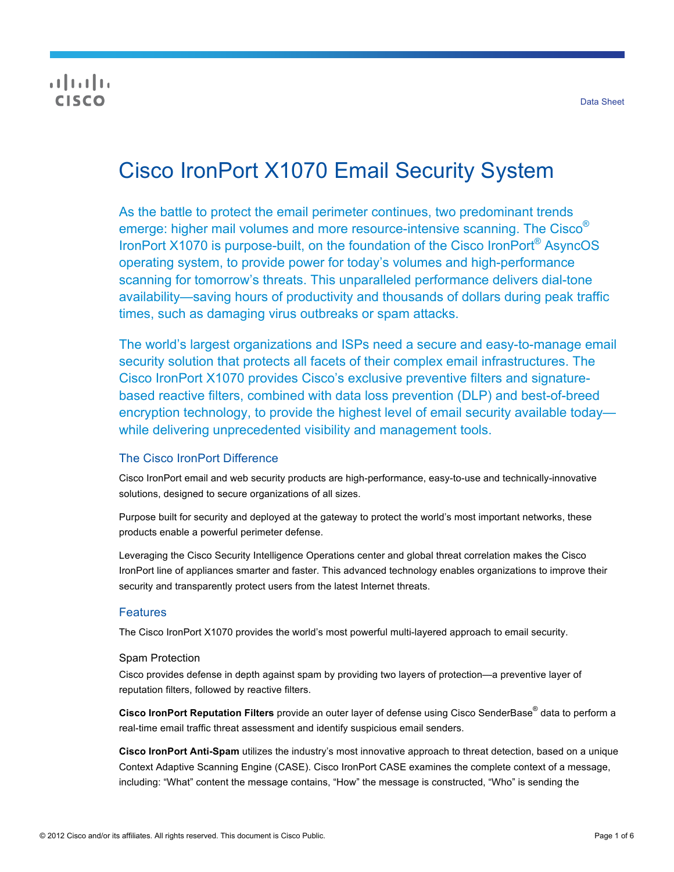# $\frac{1}{2}$ CISCO

# Cisco IronPort X1070 Email Security System

As the battle to protect the email perimeter continues, two predominant trends emerge: higher mail volumes and more resource-intensive scanning. The Cisco® IronPort X1070 is purpose-built, on the foundation of the Cisco IronPort® AsyncOS operating system, to provide power for today's volumes and high-performance scanning for tomorrow's threats. This unparalleled performance delivers dial-tone availability—saving hours of productivity and thousands of dollars during peak traffic times, such as damaging virus outbreaks or spam attacks.

The world's largest organizations and ISPs need a secure and easy-to-manage email security solution that protects all facets of their complex email infrastructures. The Cisco IronPort X1070 provides Cisco's exclusive preventive filters and signaturebased reactive filters, combined with data loss prevention (DLP) and best-of-breed encryption technology, to provide the highest level of email security available today while delivering unprecedented visibility and management tools.

# The Cisco IronPort Difference

Cisco IronPort email and web security products are high-performance, easy-to-use and technically-innovative solutions, designed to secure organizations of all sizes.

Purpose built for security and deployed at the gateway to protect the world's most important networks, these products enable a powerful perimeter defense.

Leveraging the Cisco Security Intelligence Operations center and global threat correlation makes the Cisco IronPort line of appliances smarter and faster. This advanced technology enables organizations to improve their security and transparently protect users from the latest Internet threats.

# **Features**

The Cisco IronPort X1070 provides the world's most powerful multi-layered approach to email security.

# Spam Protection

Cisco provides defense in depth against spam by providing two layers of protection—a preventive layer of reputation filters, followed by reactive filters.

**Cisco IronPort Reputation Filters** provide an outer layer of defense using Cisco SenderBase® data to perform a real-time email traffic threat assessment and identify suspicious email senders.

**Cisco IronPort Anti-Spam** utilizes the industry's most innovative approach to threat detection, based on a unique Context Adaptive Scanning Engine (CASE). Cisco IronPort CASE examines the complete context of a message, including: "What" content the message contains, "How" the message is constructed, "Who" is sending the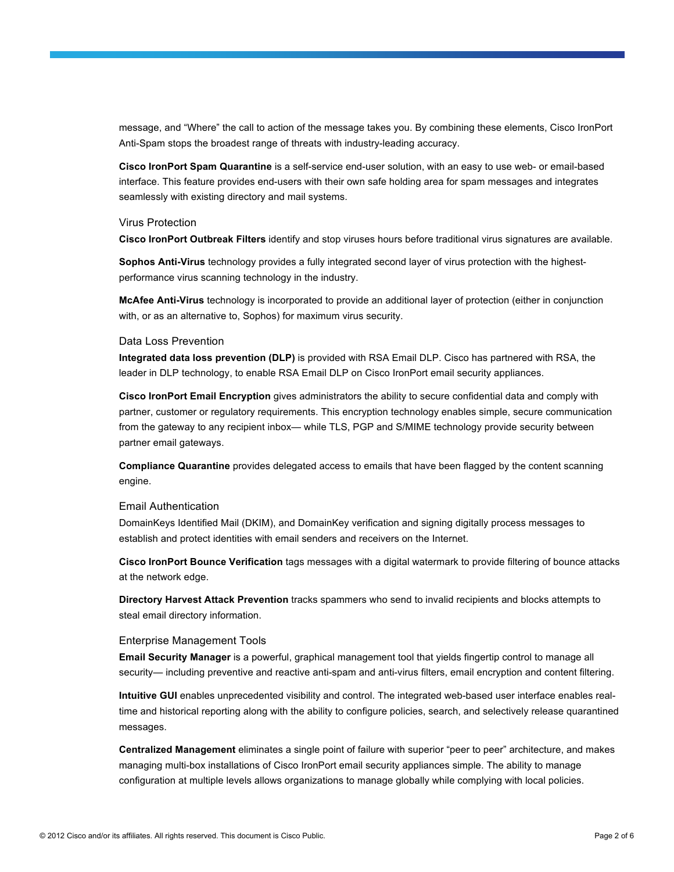message, and "Where" the call to action of the message takes you. By combining these elements, Cisco IronPort Anti-Spam stops the broadest range of threats with industry-leading accuracy.

**Cisco IronPort Spam Quarantine** is a self-service end-user solution, with an easy to use web- or email-based interface. This feature provides end-users with their own safe holding area for spam messages and integrates seamlessly with existing directory and mail systems.

#### Virus Protection

**Cisco IronPort Outbreak Filters** identify and stop viruses hours before traditional virus signatures are available.

**Sophos Anti-Virus** technology provides a fully integrated second layer of virus protection with the highestperformance virus scanning technology in the industry.

**McAfee Anti-Virus** technology is incorporated to provide an additional layer of protection (either in conjunction with, or as an alternative to, Sophos) for maximum virus security.

#### Data Loss Prevention

**Integrated data loss prevention (DLP)** is provided with RSA Email DLP. Cisco has partnered with RSA, the leader in DLP technology, to enable RSA Email DLP on Cisco IronPort email security appliances.

**Cisco IronPort Email Encryption** gives administrators the ability to secure confidential data and comply with partner, customer or regulatory requirements. This encryption technology enables simple, secure communication from the gateway to any recipient inbox— while TLS, PGP and S/MIME technology provide security between partner email gateways.

**Compliance Quarantine** provides delegated access to emails that have been flagged by the content scanning engine.

#### Email Authentication

DomainKeys Identified Mail (DKIM), and DomainKey verification and signing digitally process messages to establish and protect identities with email senders and receivers on the Internet.

**Cisco IronPort Bounce Verification** tags messages with a digital watermark to provide filtering of bounce attacks at the network edge.

**Directory Harvest Attack Prevention** tracks spammers who send to invalid recipients and blocks attempts to steal email directory information.

#### Enterprise Management Tools

**Email Security Manager** is a powerful, graphical management tool that yields fingertip control to manage all security— including preventive and reactive anti-spam and anti-virus filters, email encryption and content filtering.

**Intuitive GUI** enables unprecedented visibility and control. The integrated web-based user interface enables realtime and historical reporting along with the ability to configure policies, search, and selectively release quarantined messages.

**Centralized Management** eliminates a single point of failure with superior "peer to peer" architecture, and makes managing multi-box installations of Cisco IronPort email security appliances simple. The ability to manage configuration at multiple levels allows organizations to manage globally while complying with local policies.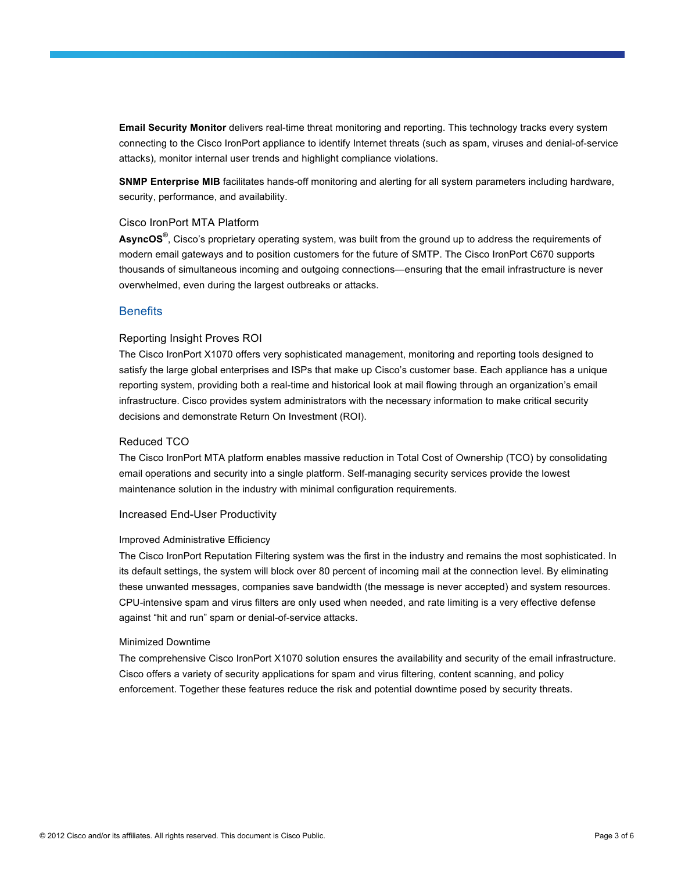**Email Security Monitor** delivers real-time threat monitoring and reporting. This technology tracks every system connecting to the Cisco IronPort appliance to identify Internet threats (such as spam, viruses and denial-of-service attacks), monitor internal user trends and highlight compliance violations.

**SNMP Enterprise MIB** facilitates hands-off monitoring and alerting for all system parameters including hardware, security, performance, and availability.

#### Cisco IronPort MTA Platform

**AsyncOS®** , Cisco's proprietary operating system, was built from the ground up to address the requirements of modern email gateways and to position customers for the future of SMTP. The Cisco IronPort C670 supports thousands of simultaneous incoming and outgoing connections—ensuring that the email infrastructure is never overwhelmed, even during the largest outbreaks or attacks.

# **Benefits**

#### Reporting Insight Proves ROI

The Cisco IronPort X1070 offers very sophisticated management, monitoring and reporting tools designed to satisfy the large global enterprises and ISPs that make up Cisco's customer base. Each appliance has a unique reporting system, providing both a real-time and historical look at mail flowing through an organization's email infrastructure. Cisco provides system administrators with the necessary information to make critical security decisions and demonstrate Return On Investment (ROI).

#### Reduced TCO

The Cisco IronPort MTA platform enables massive reduction in Total Cost of Ownership (TCO) by consolidating email operations and security into a single platform. Self-managing security services provide the lowest maintenance solution in the industry with minimal configuration requirements.

#### Increased End-User Productivity

#### Improved Administrative Efficiency

The Cisco IronPort Reputation Filtering system was the first in the industry and remains the most sophisticated. In its default settings, the system will block over 80 percent of incoming mail at the connection level. By eliminating these unwanted messages, companies save bandwidth (the message is never accepted) and system resources. CPU-intensive spam and virus filters are only used when needed, and rate limiting is a very effective defense against "hit and run" spam or denial-of-service attacks.

#### Minimized Downtime

The comprehensive Cisco IronPort X1070 solution ensures the availability and security of the email infrastructure. Cisco offers a variety of security applications for spam and virus filtering, content scanning, and policy enforcement. Together these features reduce the risk and potential downtime posed by security threats.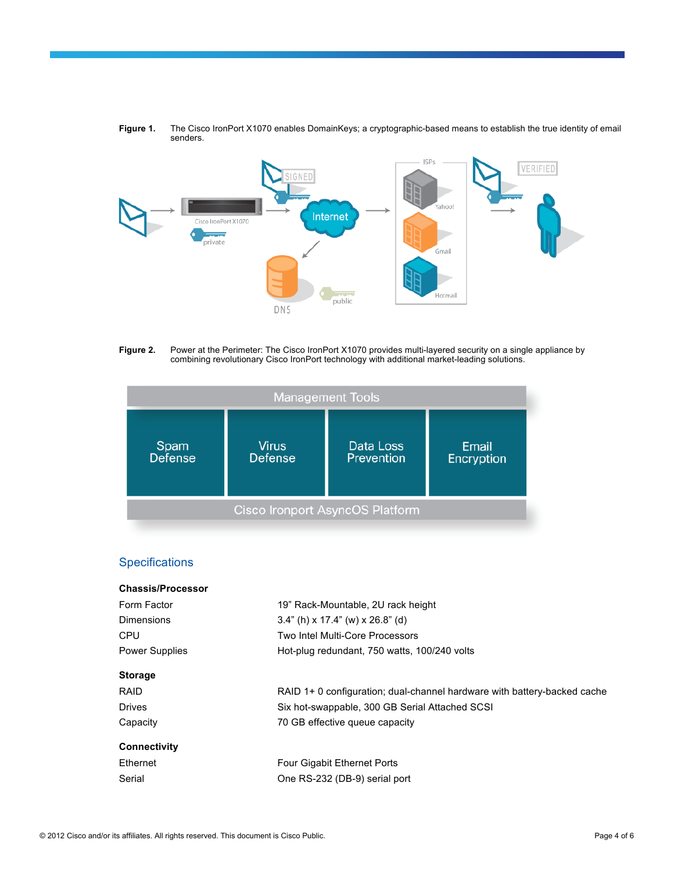

**Figure 1.** The Cisco IronPort X1070 enables DomainKeys; a cryptographic-based means to establish the true identity of email senders.

**Figure 2.** Power at the Perimeter: The Cisco IronPort X1070 provides multi-layered security on a single appliance by combining revolutionary Cisco IronPort technology with additional market-leading solutions.

| <b>Management Tools</b> |                                |                                        |                            |
|-------------------------|--------------------------------|----------------------------------------|----------------------------|
| Spam<br>Defense         | <b>Virus</b><br><b>Defense</b> | Data Loss<br>Prevention                | <b>Email</b><br>Encryption |
|                         |                                | <b>Cisco Ironport AsyncOS Platform</b> |                            |

# **Specifications**

| <b>Chassis/Processor</b> |                                                                          |  |
|--------------------------|--------------------------------------------------------------------------|--|
| Form Factor              | 19" Rack-Mountable, 2U rack height                                       |  |
| Dimensions               | $3.4$ " (h) x 17.4" (w) x 26.8" (d)                                      |  |
| CPU                      | Two Intel Multi-Core Processors                                          |  |
| <b>Power Supplies</b>    | Hot-plug redundant, 750 watts, 100/240 volts                             |  |
| <b>Storage</b>           |                                                                          |  |
| <b>RAID</b>              | RAID 1+ 0 configuration; dual-channel hardware with battery-backed cache |  |
| <b>Drives</b>            | Six hot-swappable, 300 GB Serial Attached SCSI                           |  |
| Capacity                 | 70 GB effective queue capacity                                           |  |
| <b>Connectivity</b>      |                                                                          |  |
| Ethernet                 | <b>Four Gigabit Ethernet Ports</b>                                       |  |
| Serial                   | One RS-232 (DB-9) serial port                                            |  |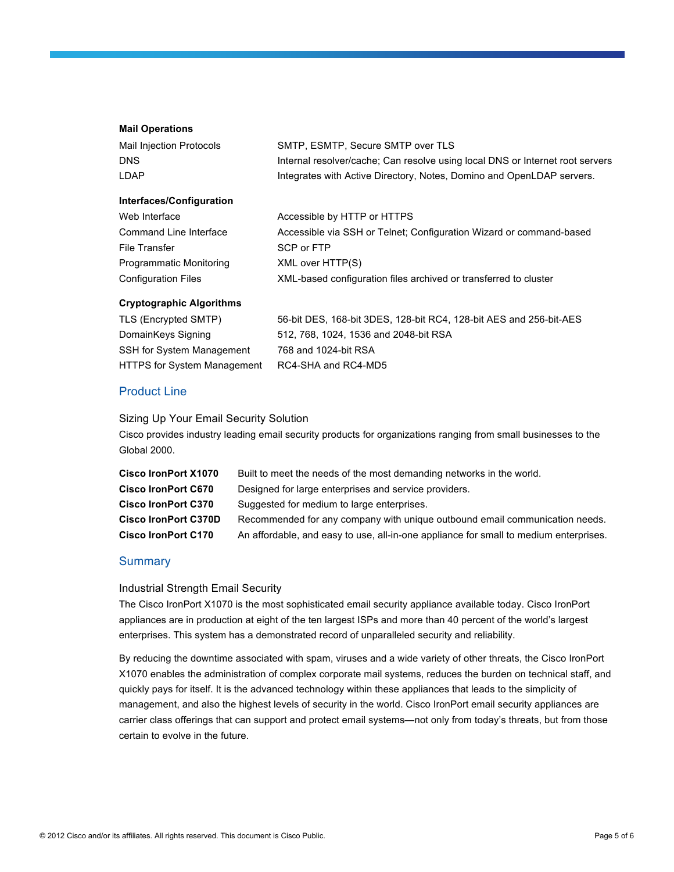#### **Mail Operations**

| Mail Injection Protocols |
|--------------------------|
| DNS                      |
| I DAP                    |

SMTP, ESMTP, Secure SMTP over TLS Internal resolver/cache; Can resolve using local DNS or Internet root servers Integrates with Active Directory, Notes, Domino and OpenLDAP servers.

#### **Interfaces/Configuration**

| Web Interface              | Accessible by HTTP or HTTPS                                         |
|----------------------------|---------------------------------------------------------------------|
| Command Line Interface     | Accessible via SSH or Telnet; Configuration Wizard or command-based |
| File Transfer              | SCP or FTP                                                          |
| Programmatic Monitoring    | XML over HTTP(S)                                                    |
| <b>Configuration Files</b> | XML-based configuration files archived or transferred to cluster    |
|                            |                                                                     |

#### **Cryptographic Algorithms**

| TLS (Encrypted SMTP)               | 56-bit DES, 168-bit 3DES, 128-bit RC4, 128-bit AES and 256-bit-AES |
|------------------------------------|--------------------------------------------------------------------|
| DomainKeys Signing                 | 512, 768, 1024, 1536 and 2048-bit RSA                              |
| SSH for System Management          | 768 and 1024-bit RSA                                               |
| <b>HTTPS for System Management</b> | RC4-SHA and RC4-MD5                                                |

# Product Line

Sizing Up Your Email Security Solution

Cisco provides industry leading email security products for organizations ranging from small businesses to the Global 2000.

| Cisco IronPort X1070        | Built to meet the needs of the most demanding networks in the world.                  |
|-----------------------------|---------------------------------------------------------------------------------------|
| <b>Cisco IronPort C670</b>  | Designed for large enterprises and service providers.                                 |
| <b>Cisco IronPort C370</b>  | Suggested for medium to large enterprises.                                            |
| <b>Cisco IronPort C370D</b> | Recommended for any company with unique outbound email communication needs.           |
| <b>Cisco IronPort C170</b>  | An affordable, and easy to use, all-in-one appliance for small to medium enterprises. |

# **Summary**

# Industrial Strength Email Security

The Cisco IronPort X1070 is the most sophisticated email security appliance available today. Cisco IronPort appliances are in production at eight of the ten largest ISPs and more than 40 percent of the world's largest enterprises. This system has a demonstrated record of unparalleled security and reliability.

By reducing the downtime associated with spam, viruses and a wide variety of other threats, the Cisco IronPort X1070 enables the administration of complex corporate mail systems, reduces the burden on technical staff, and quickly pays for itself. It is the advanced technology within these appliances that leads to the simplicity of management, and also the highest levels of security in the world. Cisco IronPort email security appliances are carrier class offerings that can support and protect email systems—not only from today's threats, but from those certain to evolve in the future.